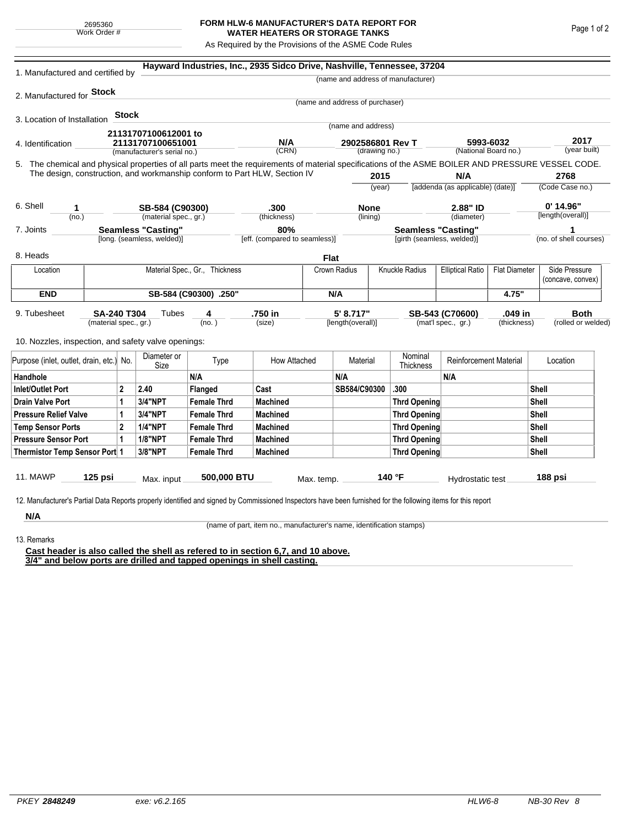## **FORM HLW-6 MANUFACTURER'S DATA REPORT FOR WATER HEATERS OR STORAGE TANKS**

As Required by the Provisions of the ASME Code Rules

| 1. Manufactured and certified by                                                                                                                              |                                                                      |         |                             |                    | Hayward Industries, Inc., 2935 Sidco Drive, Nashville, Tennessee, 37204   |              |                                   |                                                         |                                    |                                   |                                   |                                  |                                    |  |
|---------------------------------------------------------------------------------------------------------------------------------------------------------------|----------------------------------------------------------------------|---------|-----------------------------|--------------------|---------------------------------------------------------------------------|--------------|-----------------------------------|---------------------------------------------------------|------------------------------------|-----------------------------------|-----------------------------------|----------------------------------|------------------------------------|--|
|                                                                                                                                                               |                                                                      |         |                             |                    |                                                                           |              |                                   |                                                         | (name and address of manufacturer) |                                   |                                   |                                  |                                    |  |
| 2. Manufactured for <b>Stock</b>                                                                                                                              |                                                                      |         |                             |                    |                                                                           |              |                                   |                                                         |                                    |                                   |                                   |                                  |                                    |  |
|                                                                                                                                                               |                                                                      |         |                             |                    |                                                                           |              | (name and address of purchaser)   |                                                         |                                    |                                   |                                   |                                  |                                    |  |
| 3. Location of Installation                                                                                                                                   |                                                                      | Stock   |                             |                    |                                                                           |              | (name and address)                |                                                         |                                    |                                   |                                   |                                  |                                    |  |
|                                                                                                                                                               |                                                                      |         | 21131707100612001 to        |                    |                                                                           |              |                                   |                                                         |                                    |                                   |                                   |                                  |                                    |  |
| 4. Identification                                                                                                                                             |                                                                      |         | 21131707100651001           |                    | N/A<br>(CRN)                                                              |              | 2902586801 Rev T<br>(drawing no.) |                                                         |                                    |                                   | 5993-6032<br>(National Board no.) |                                  | 2017<br>(year built)               |  |
|                                                                                                                                                               |                                                                      |         | (manufacturer's serial no.) |                    |                                                                           |              |                                   |                                                         |                                    |                                   |                                   |                                  |                                    |  |
| 5. The chemical and physical properties of all parts meet the requirements of material specifications of the ASME BOILER AND PRESSURE VESSEL CODE.            |                                                                      |         |                             |                    | The design, construction, and workmanship conform to Part HLW, Section IV |              |                                   | 2015                                                    |                                    | N/A                               |                                   |                                  | 2768                               |  |
|                                                                                                                                                               |                                                                      |         |                             |                    |                                                                           |              | (year)                            |                                                         |                                    | [addenda (as applicable) (date)]  |                                   | (Code Case no.)                  |                                    |  |
|                                                                                                                                                               |                                                                      |         |                             |                    |                                                                           |              |                                   |                                                         |                                    |                                   |                                   |                                  |                                    |  |
| 6. Shell<br>1                                                                                                                                                 |                                                                      |         | SB-584 (C90300)             |                    | .300                                                                      |              | <b>None</b>                       |                                                         |                                    | 2.88" ID                          |                                   | $0'$ 14.96"<br>[length(overall)] |                                    |  |
| (no.)                                                                                                                                                         |                                                                      |         | (material spec., gr.)       |                    | (thickness)                                                               |              | (lining)                          |                                                         |                                    | (diameter)                        |                                   |                                  |                                    |  |
|                                                                                                                                                               | <b>Seamless "Casting"</b><br>7. Joints<br>[long. (seamless, welded)] |         |                             |                    | 80%<br>[eff. (compared to seamless)]                                      |              |                                   | <b>Seamless "Casting"</b><br>[girth (seamless, welded)] |                                    |                                   | 1<br>(no. of shell courses)       |                                  |                                    |  |
|                                                                                                                                                               |                                                                      |         |                             |                    |                                                                           |              |                                   |                                                         |                                    |                                   |                                   |                                  |                                    |  |
| 8. Heads                                                                                                                                                      |                                                                      |         |                             |                    |                                                                           | <b>Flat</b>  |                                   |                                                         |                                    |                                   |                                   |                                  |                                    |  |
| Location                                                                                                                                                      | Material Spec., Gr., Thickness                                       |         |                             |                    |                                                                           |              | Knuckle Radius<br>Crown Radius    |                                                         |                                    | <b>Elliptical Ratio</b>           | <b>Flat Diameter</b>              |                                  | Side Pressure<br>(concave, convex) |  |
| <b>END</b>                                                                                                                                                    | SB-584 (C90300) .250"                                                |         |                             |                    |                                                                           |              | N/A                               |                                                         |                                    |                                   | 4.75"                             |                                  |                                    |  |
| 9. Tubesheet                                                                                                                                                  | SA-240 T304                                                          |         | Tubes                       | 4                  | .750 in                                                                   |              | 5' 8.717"                         |                                                         |                                    | SB-543 (C70600)                   | .049 in                           |                                  | <b>Both</b>                        |  |
| (material spec., gr.)                                                                                                                                         |                                                                      |         | (no. )                      |                    | (size)                                                                    |              | [length(overall)]                 |                                                         |                                    | (mat'l spec., gr.)<br>(thickness) |                                   |                                  | (rolled or welded)                 |  |
| 10. Nozzles, inspection, and safety valve openings:                                                                                                           |                                                                      |         |                             |                    |                                                                           |              |                                   |                                                         |                                    |                                   |                                   |                                  |                                    |  |
|                                                                                                                                                               |                                                                      |         | Diameter or                 |                    |                                                                           |              |                                   |                                                         | Nominal                            |                                   |                                   |                                  |                                    |  |
| Purpose (inlet, outlet, drain, etc.) No.                                                                                                                      |                                                                      | Size    | Type                        | How Attached       |                                                                           | Material     |                                   | <b>Thickness</b>                                        | <b>Reinforcement Material</b>      |                                   | Location                          |                                  |                                    |  |
| Handhole                                                                                                                                                      |                                                                      |         |                             | N/A                |                                                                           |              | N/A                               |                                                         |                                    | N/A                               |                                   |                                  |                                    |  |
| $\overline{2}$<br><b>Inlet/Outlet Port</b>                                                                                                                    |                                                                      | 2.40    | Flanged                     | Cast               |                                                                           | SB584/C90300 |                                   | .300                                                    |                                    |                                   | Shell                             |                                  |                                    |  |
| <b>Drain Valve Port</b><br>1                                                                                                                                  |                                                                      | 3/4"NPT | <b>Female Thrd</b>          | Machined           |                                                                           |              |                                   | <b>Thrd Opening</b>                                     |                                    |                                   | Shell                             |                                  |                                    |  |
| <b>Pressure Relief Valve</b><br>1                                                                                                                             |                                                                      |         | 3/4"NPT                     | <b>Female Thrd</b> | <b>Machined</b>                                                           |              |                                   |                                                         | Thrd Opening                       |                                   |                                   |                                  | Shell                              |  |
| $\overline{2}$<br><b>Temp Sensor Ports</b>                                                                                                                    |                                                                      |         | <b>1/4"NPT</b>              | <b>Female Thrd</b> | <b>Machined</b>                                                           |              |                                   |                                                         | <b>Thrd Opening</b>                |                                   |                                   |                                  | Shell                              |  |
| <b>Pressure Sensor Port</b><br>1                                                                                                                              |                                                                      |         | <b>1/8"NPT</b>              | <b>Female Thrd</b> | <b>Machined</b>                                                           |              |                                   |                                                         | <b>Thrd Opening</b>                |                                   |                                   |                                  | Shell                              |  |
| Thermistor Temp Sensor Port 1                                                                                                                                 |                                                                      |         | 3/8"NPT                     | <b>Female Thrd</b> | <b>Machined</b>                                                           |              |                                   |                                                         | Thrd Opening                       |                                   |                                   |                                  | Shell                              |  |
| 11. MAWP                                                                                                                                                      | $125$ psi                                                            |         |                             | 500,000 BTU        |                                                                           |              |                                   |                                                         | 140 °F                             |                                   |                                   |                                  | 188 psi                            |  |
|                                                                                                                                                               |                                                                      |         | Max. input                  |                    |                                                                           | Max. temp.   |                                   |                                                         |                                    | Hydrostatic test                  |                                   |                                  |                                    |  |
|                                                                                                                                                               |                                                                      |         |                             |                    |                                                                           |              |                                   |                                                         |                                    |                                   |                                   |                                  |                                    |  |
| 12. Manufacturer's Partial Data Reports properly identified and signed by Commissioned Inspectors have been furnished for the following items for this report |                                                                      |         |                             |                    |                                                                           |              |                                   |                                                         |                                    |                                   |                                   |                                  |                                    |  |

(name of part, item no., manufacturer's name, identification stamps)

13. Remarks

**Cast header is also called the shell as refered to in section 6,7, and 10 above. 3/4" and below ports are drilled and tapped openings in shell casting.**